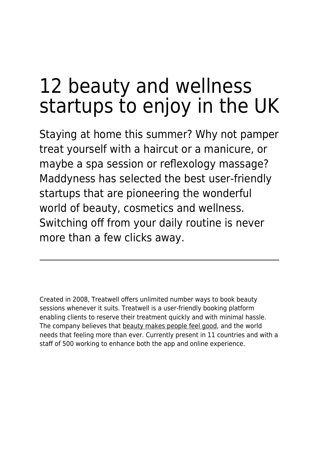## 12 beauty and wellness startups to enjoy in the UK

Staying at home this summer? Why not pamper treat yourself with a haircut or a manicure, or maybe a spa session or reflexology massage? Maddyness has selected the best user-friendly startups that are pioneering the wonderful world of beauty, cosmetics and wellness. Switching off from your daily routine is never more than a few clicks away.

Created in 2008, Treatwell offers unlimited number ways to book beauty sessions whenever it suits. Treatwell is a user-friendly booking platform enabling clients to reserve their treatment quickly and with minimal hassle. The company believes that [beauty makes people feel good,](https://www.maddyness.com/uk/2020/02/18/what-is-self-confidence/) and the world needs that feeling more than ever. Currently present in 11 countries and with a staff of 500 working to enhance both the app and online experience.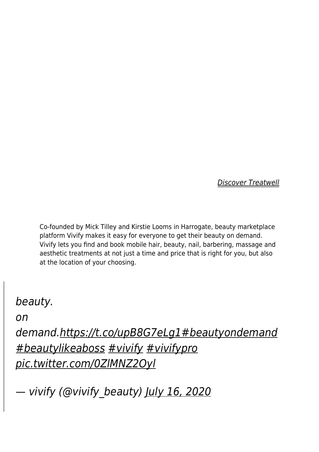[Discover Treatwell](https://www.treatwell.co.uk/)

Co-founded by Mick Tilley and Kirstie Looms in Harrogate, beauty marketplace platform Vivify makes it easy for everyone to get their beauty on demand. Vivify lets you find and book mobile hair, beauty, nail, barbering, massage and aesthetic treatments at not just a time and price that is right for you, but also at the location of your choosing.

## beauty.

on

demand.<https://t.co/upB8G7eLg1>[#beautyondemand](https://twitter.com/hashtag/beautyondemand?src=hash&ref_src=twsrc%5Etfw) [#beautylikeaboss](https://twitter.com/hashtag/beautylikeaboss?src=hash&ref_src=twsrc%5Etfw) [#vivify](https://twitter.com/hashtag/vivify?src=hash&ref_src=twsrc%5Etfw) [#vivifypro](https://twitter.com/hashtag/vivifypro?src=hash&ref_src=twsrc%5Etfw) [pic.twitter.com/0ZlMNZ2Oyl](https://t.co/0ZlMNZ2Oyl)

— vivify (@vivify\_beauty) [July 16, 2020](https://twitter.com/vivify_beauty/status/1283835116645683211?ref_src=twsrc%5Etfw)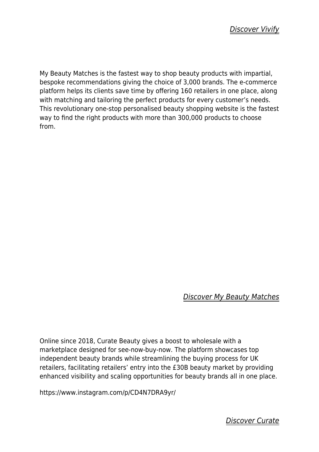My Beauty Matches is the fastest way to shop beauty products with impartial, bespoke recommendations giving the choice of 3,000 brands. The e-commerce platform helps its clients save time by offering 160 retailers in one place, along with matching and tailoring the perfect products for every customer's needs. This revolutionary one-stop personalised beauty shopping website is the fastest way to find the right products with more than 300,000 products to choose from.

## [Discover My Beauty Matches](https://www.mybeautymatches.com/)

Online since 2018, Curate Beauty gives a boost to wholesale with a marketplace designed for see-now-buy-now. The platform showcases top independent beauty brands while streamlining the buying process for UK retailers, facilitating retailers' entry into the £30B beauty market by providing enhanced visibility and scaling opportunities for beauty brands all in one place.

https://www.instagram.com/p/CD4N7DRA9yr/

[Discover Curate](https://curate-beauty.com/)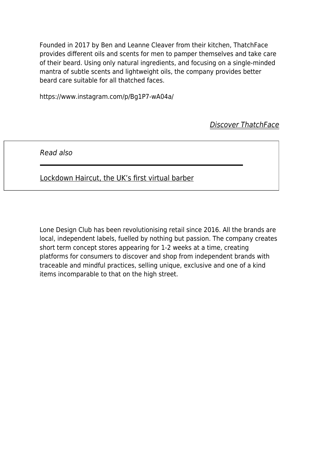Founded in 2017 by Ben and Leanne Cleaver from their kitchen, ThatchFace provides different oils and scents for men to pamper themselves and take care of their beard. Using only natural ingredients, and focusing on a single-minded mantra of subtle scents and lightweight oils, the company provides better beard care suitable for all thatched faces.

https://www.instagram.com/p/Bg1P7-wA04a/

[Discover ThatchFace](https://www.thatchface.com/)

Read also

[Lockdown Haircut, the UK's first virtual barber](https://www.maddyness.com/uk/2020/05/30/lockdown-haircut-the-uks-first-virtual-barber/)

Lone Design Club has been revolutionising retail since 2016. All the brands are local, independent labels, fuelled by nothing but passion. The company creates short term concept stores appearing for 1-2 weeks at a time, creating platforms for consumers to discover and shop from independent brands with traceable and mindful practices, selling unique, exclusive and one of a kind items incomparable to that on the high street.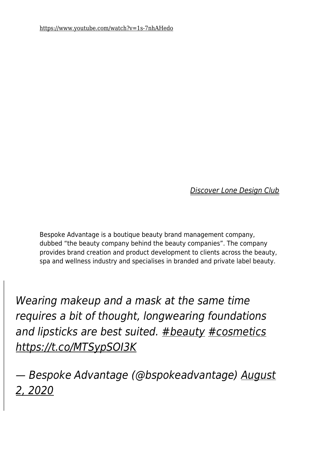[Discover Lone Design Club](https://lonedesignclub.com/)

Bespoke Advantage is a boutique beauty brand management company, dubbed "the beauty company behind the beauty companies". The company provides brand creation and product development to clients across the beauty, spa and wellness industry and specialises in branded and private label beauty.

Wearing makeup and a mask at the same time requires a bit of thought, longwearing foundations and lipsticks are best suited. [#beauty](https://twitter.com/hashtag/beauty?src=hash&ref_src=twsrc%5Etfw) [#cosmetics](https://twitter.com/hashtag/cosmetics?src=hash&ref_src=twsrc%5Etfw) <https://t.co/MTSypSOI3K>

— Bespoke Advantage (@bspokeadvantage) [August](https://twitter.com/bspokeadvantage/status/1289968440342532096?ref_src=twsrc%5Etfw) [2, 2020](https://twitter.com/bspokeadvantage/status/1289968440342532096?ref_src=twsrc%5Etfw)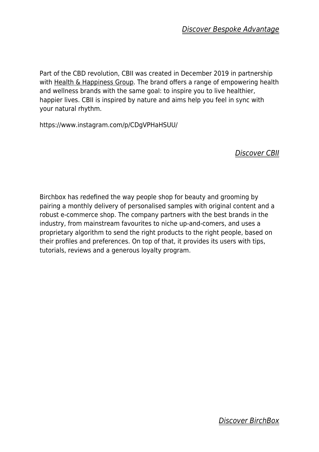Part of the CBD revolution, CBII was created in December 2019 in partnership with [Health & Happiness Group](https://www.cbii-cbd.com/cbii-in-partnership-with-bod-australia). The brand offers a range of empowering health and wellness brands with the same goal: to inspire you to live healthier, happier lives. CBII is inspired by nature and aims help you feel in sync with your natural rhythm.

https://www.instagram.com/p/CDgVPHaHSUU/

[Discover CBII](https://www.cbii-cbd.com/)

Birchbox has redefined the way people shop for beauty and grooming by pairing a monthly delivery of personalised samples with original content and a robust e-commerce shop. The company partners with the best brands in the industry, from mainstream favourites to niche up-and-comers, and uses a proprietary algorithm to send the right products to the right people, based on their profiles and preferences. On top of that, it provides its users with tips, tutorials, reviews and a generous loyalty program.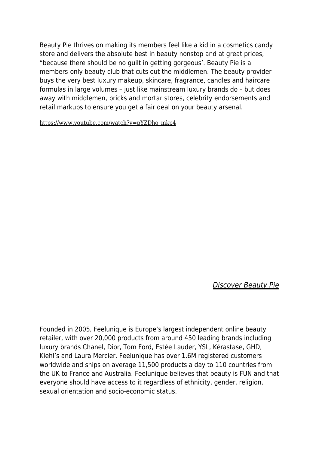Beauty Pie thrives on making its members feel like a kid in a cosmetics candy store and delivers the absolute best in beauty nonstop and at great prices, "because there should be no guilt in getting gorgeous'. Beauty Pie is a members-only beauty club that cuts out the middlemen. The beauty provider buys the very best luxury makeup, skincare, fragrance, candles and haircare formulas in large volumes – just like mainstream luxury brands do – but does away with middlemen, bricks and mortar stores, celebrity endorsements and retail markups to ensure you get a fair deal on your beauty arsenal.

[https://www.youtube.com/watch?v=pYZDho\\_mkp4](https://www.youtube.com/watch?v=pYZDho_mkp4)

[Discover Beauty Pie](https://www.beautypie.com/)

Founded in 2005, Feelunique is Europe's largest independent online beauty retailer, with over 20,000 products from around 450 leading brands including luxury brands Chanel, Dior, Tom Ford, Estée Lauder, YSL, Kérastase, GHD, Kiehl's and Laura Mercier. Feelunique has over 1.6M registered customers worldwide and ships on average 11,500 products a day to 110 countries from the UK to France and Australia. Feelunique believes that beauty is FUN and that everyone should have access to it regardless of ethnicity, gender, religion, sexual orientation and socio-economic status.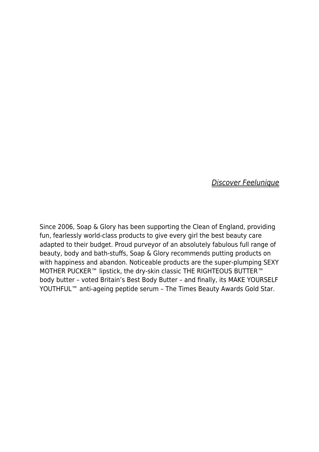[Discover Feelunique](https://www.feelunique.com/)

Since 2006, Soap & Glory has been supporting the Clean of England, providing fun, fearlessly world-class products to give every girl the best beauty care adapted to their budget. Proud purveyor of an absolutely fabulous full range of beauty, body and bath-stuffs, Soap & Glory recommends putting products on with happiness and abandon. Noticeable products are the super-plumping SEXY MOTHER PUCKER™ lipstick, the dry-skin classic THE RIGHTEOUS BUTTER™ body butter – voted Britain's Best Body Butter – and finally, its MAKE YOURSELF YOUTHFUL™ anti-ageing peptide serum – The Times Beauty Awards Gold Star.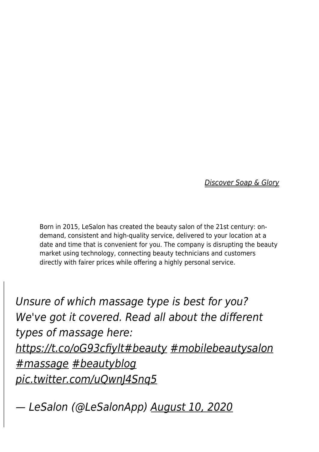[Discover Soap & Glory](https://www.soapandglory.com/)

Born in 2015, LeSalon has created the beauty salon of the 21st century: ondemand, consistent and high-quality service, delivered to your location at a date and time that is convenient for you. The company is disrupting the beauty market using technology, connecting beauty technicians and customers directly with fairer prices while offering a highly personal service.

Unsure of which massage type is best for you? We've got it covered. Read all about the different types of massage here: <https://t.co/oG93cfiylt>[#beauty](https://twitter.com/hashtag/beauty?src=hash&ref_src=twsrc%5Etfw) [#mobilebeautysalon](https://twitter.com/hashtag/mobilebeautysalon?src=hash&ref_src=twsrc%5Etfw) [#massage](https://twitter.com/hashtag/massage?src=hash&ref_src=twsrc%5Etfw) [#beautyblog](https://twitter.com/hashtag/beautyblog?src=hash&ref_src=twsrc%5Etfw) [pic.twitter.com/uQwnJ4Snq5](https://t.co/uQwnJ4Snq5)

— LeSalon (@LeSalonApp) [August 10, 2020](https://twitter.com/LeSalonApp/status/1292847278403850240?ref_src=twsrc%5Etfw)